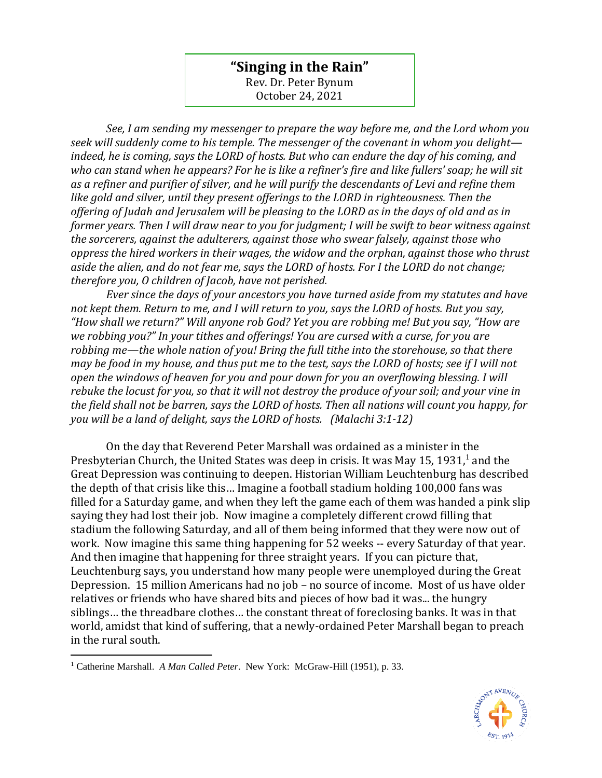## **"Singing in the Rain"**

Rev. Dr. Peter Bynum October 24, 2021

*See, I am sending my messenger to prepare the way before me, and the Lord whom you seek will suddenly come to his temple. The messenger of the covenant in whom you delight indeed, he is coming, says the LORD of hosts. But who can endure the day of his coming, and who can stand when he appears? For he is like a refiner's fire and like fullers' soap; he will sit as a refiner and purifier of silver, and he will purify the descendants of Levi and refine them like gold and silver, until they present offerings to the LORD in righteousness. Then the offering of Judah and Jerusalem will be pleasing to the LORD as in the days of old and as in former years. Then I will draw near to you for judgment; I will be swift to bear witness against the sorcerers, against the adulterers, against those who swear falsely, against those who oppress the hired workers in their wages, the widow and the orphan, against those who thrust aside the alien, and do not fear me, says the LORD of hosts. For I the LORD do not change; therefore you, O children of Jacob, have not perished.* 

*Ever since the days of your ancestors you have turned aside from my statutes and have not kept them. Return to me, and I will return to you, says the LORD of hosts. But you say, "How shall we return?" Will anyone rob God? Yet you are robbing me! But you say, "How are we robbing you?" In your tithes and offerings! You are cursed with a curse, for you are robbing me—the whole nation of you! Bring the full tithe into the storehouse, so that there may be food in my house, and thus put me to the test, says the LORD of hosts; see if I will not open the windows of heaven for you and pour down for you an overflowing blessing. I will rebuke the locust for you, so that it will not destroy the produce of your soil; and your vine in the field shall not be barren, says the LORD of hosts. Then all nations will count you happy, for you will be a land of delight, says the LORD of hosts. (Malachi 3:1-12)*

On the day that Reverend Peter Marshall was ordained as a minister in the Presbyterian Church, the United States was deep in crisis. It was May 15, 1931, and the Great Depression was continuing to deepen. Historian William Leuchtenburg has described the depth of that crisis like this… Imagine a football stadium holding 100,000 fans was filled for a Saturday game, and when they left the game each of them was handed a pink slip saying they had lost their job. Now imagine a completely different crowd filling that stadium the following Saturday, and all of them being informed that they were now out of work. Now imagine this same thing happening for 52 weeks -- every Saturday of that year. And then imagine that happening for three straight years. If you can picture that, Leuchtenburg says, you understand how many people were unemployed during the Great Depression. 15 million Americans had no job – no source of income. Most of us have older relatives or friends who have shared bits and pieces of how bad it was... the hungry siblings… the threadbare clothes… the constant threat of foreclosing banks. It was in that world, amidst that kind of suffering, that a newly-ordained Peter Marshall began to preach in the rural south.



<sup>&</sup>lt;sup>1</sup> Catherine Marshall. *A Man Called Peter*. New York: McGraw-Hill (1951), p. 33.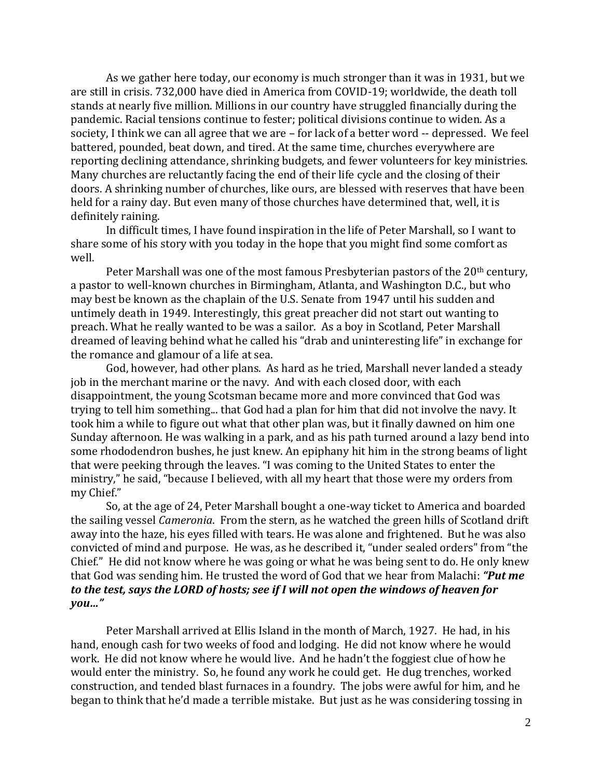As we gather here today, our economy is much stronger than it was in 1931, but we are still in crisis. 732,000 have died in America from COVID-19; worldwide, the death toll stands at nearly five million. Millions in our country have struggled financially during the pandemic. Racial tensions continue to fester; political divisions continue to widen. As a society, I think we can all agree that we are – for lack of a better word -- depressed. We feel battered, pounded, beat down, and tired. At the same time, churches everywhere are reporting declining attendance, shrinking budgets, and fewer volunteers for key ministries. Many churches are reluctantly facing the end of their life cycle and the closing of their doors. A shrinking number of churches, like ours, are blessed with reserves that have been held for a rainy day. But even many of those churches have determined that, well, it is definitely raining.

In difficult times, I have found inspiration in the life of Peter Marshall, so I want to share some of his story with you today in the hope that you might find some comfort as well.

Peter Marshall was one of the most famous Presbyterian pastors of the 20<sup>th</sup> century, a pastor to well-known churches in Birmingham, Atlanta, and Washington D.C., but who may best be known as the chaplain of the U.S. Senate from 1947 until his sudden and untimely death in 1949. Interestingly, this great preacher did not start out wanting to preach. What he really wanted to be was a sailor. As a boy in Scotland, Peter Marshall dreamed of leaving behind what he called his "drab and uninteresting life" in exchange for the romance and glamour of a life at sea.

God, however, had other plans. As hard as he tried, Marshall never landed a steady job in the merchant marine or the navy. And with each closed door, with each disappointment, the young Scotsman became more and more convinced that God was trying to tell him something... that God had a plan for him that did not involve the navy. It took him a while to figure out what that other plan was, but it finally dawned on him one Sunday afternoon. He was walking in a park, and as his path turned around a lazy bend into some rhododendron bushes, he just knew. An epiphany hit him in the strong beams of light that were peeking through the leaves. "I was coming to the United States to enter the ministry," he said, "because I believed, with all my heart that those were my orders from my Chief."

So, at the age of 24, Peter Marshall bought a one-way ticket to America and boarded the sailing vessel *Cameronia*. From the stern, as he watched the green hills of Scotland drift away into the haze, his eyes filled with tears. He was alone and frightened. But he was also convicted of mind and purpose. He was, as he described it, "under sealed orders" from "the Chief." He did not know where he was going or what he was being sent to do. He only knew that God was sending him. He trusted the word of God that we hear from Malachi: *"Put me to the test, says the LORD of hosts; see if I will not open the windows of heaven for you…"*

Peter Marshall arrived at Ellis Island in the month of March, 1927. He had, in his hand, enough cash for two weeks of food and lodging. He did not know where he would work. He did not know where he would live. And he hadn't the foggiest clue of how he would enter the ministry. So, he found any work he could get. He dug trenches, worked construction, and tended blast furnaces in a foundry. The jobs were awful for him, and he began to think that he'd made a terrible mistake. But just as he was considering tossing in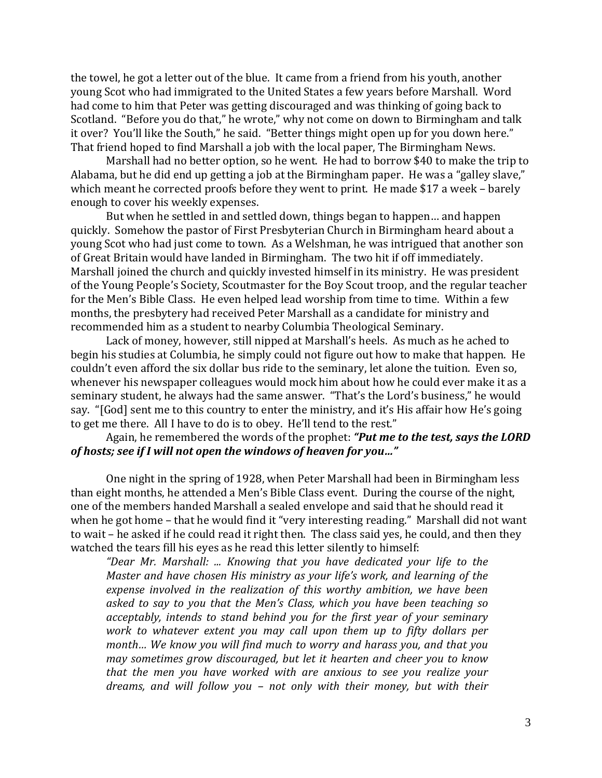the towel, he got a letter out of the blue. It came from a friend from his youth, another young Scot who had immigrated to the United States a few years before Marshall. Word had come to him that Peter was getting discouraged and was thinking of going back to Scotland. "Before you do that," he wrote," why not come on down to Birmingham and talk it over? You'll like the South," he said. "Better things might open up for you down here." That friend hoped to find Marshall a job with the local paper, The Birmingham News.

Marshall had no better option, so he went. He had to borrow \$40 to make the trip to Alabama, but he did end up getting a job at the Birmingham paper. He was a "galley slave," which meant he corrected proofs before they went to print. He made \$17 a week – barely enough to cover his weekly expenses.

But when he settled in and settled down, things began to happen… and happen quickly. Somehow the pastor of First Presbyterian Church in Birmingham heard about a young Scot who had just come to town. As a Welshman, he was intrigued that another son of Great Britain would have landed in Birmingham. The two hit if off immediately. Marshall joined the church and quickly invested himself in its ministry. He was president of the Young People's Society, Scoutmaster for the Boy Scout troop, and the regular teacher for the Men's Bible Class. He even helped lead worship from time to time. Within a few months, the presbytery had received Peter Marshall as a candidate for ministry and recommended him as a student to nearby Columbia Theological Seminary.

Lack of money, however, still nipped at Marshall's heels. As much as he ached to begin his studies at Columbia, he simply could not figure out how to make that happen. He couldn't even afford the six dollar bus ride to the seminary, let alone the tuition. Even so, whenever his newspaper colleagues would mock him about how he could ever make it as a seminary student, he always had the same answer. "That's the Lord's business," he would say. "[God] sent me to this country to enter the ministry, and it's His affair how He's going to get me there. All I have to do is to obey. He'll tend to the rest."

## Again, he remembered the words of the prophet: *"Put me to the test, says the LORD of hosts; see if I will not open the windows of heaven for you…"*

One night in the spring of 1928, when Peter Marshall had been in Birmingham less than eight months, he attended a Men's Bible Class event. During the course of the night, one of the members handed Marshall a sealed envelope and said that he should read it when he got home – that he would find it "very interesting reading." Marshall did not want to wait – he asked if he could read it right then. The class said yes, he could, and then they watched the tears fill his eyes as he read this letter silently to himself:

*"Dear Mr. Marshall: ... Knowing that you have dedicated your life to the Master and have chosen His ministry as your life's work, and learning of the expense involved in the realization of this worthy ambition, we have been asked to say to you that the Men's Class, which you have been teaching so acceptably, intends to stand behind you for the first year of your seminary work to whatever extent you may call upon them up to fifty dollars per month… We know you will find much to worry and harass you, and that you may sometimes grow discouraged, but let it hearten and cheer you to know that the men you have worked with are anxious to see you realize your dreams, and will follow you – not only with their money, but with their*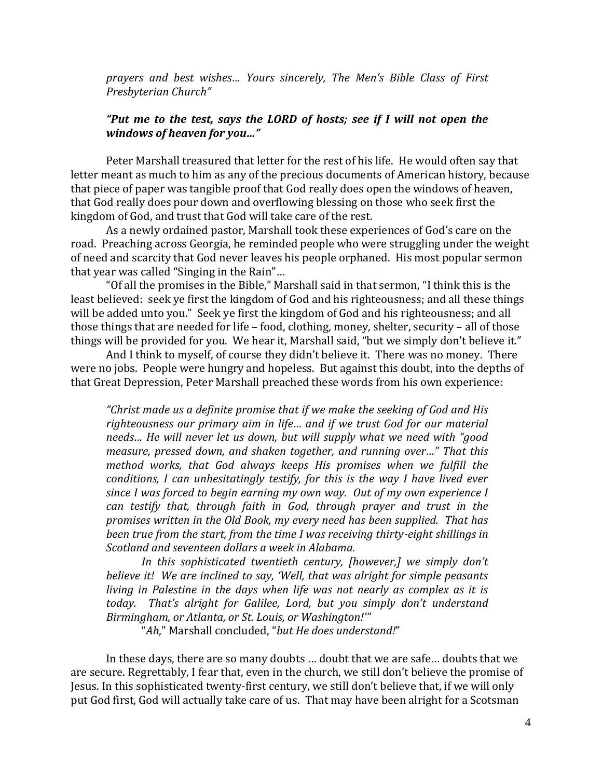*prayers and best wishes… Yours sincerely, The Men's Bible Class of First Presbyterian Church"* 

## *"Put me to the test, says the LORD of hosts; see if I will not open the windows of heaven for you…"*

Peter Marshall treasured that letter for the rest of his life. He would often say that letter meant as much to him as any of the precious documents of American history, because that piece of paper was tangible proof that God really does open the windows of heaven, that God really does pour down and overflowing blessing on those who seek first the kingdom of God, and trust that God will take care of the rest.

As a newly ordained pastor, Marshall took these experiences of God's care on the road. Preaching across Georgia, he reminded people who were struggling under the weight of need and scarcity that God never leaves his people orphaned. His most popular sermon that year was called "Singing in the Rain"…

"Of all the promises in the Bible," Marshall said in that sermon, "I think this is the least believed: seek ye first the kingdom of God and his righteousness; and all these things will be added unto you." Seek ye first the kingdom of God and his righteousness; and all those things that are needed for life – food, clothing, money, shelter, security – all of those things will be provided for you. We hear it, Marshall said, "but we simply don't believe it."

And I think to myself, of course they didn't believe it. There was no money. There were no jobs. People were hungry and hopeless. But against this doubt, into the depths of that Great Depression, Peter Marshall preached these words from his own experience:

*"Christ made us a definite promise that if we make the seeking of God and His righteousness our primary aim in life… and if we trust God for our material needs… He will never let us down, but will supply what we need with "good measure, pressed down, and shaken together, and running over…" That this method works, that God always keeps His promises when we fulfill the conditions, I can unhesitatingly testify, for this is the way I have lived ever since I was forced to begin earning my own way. Out of my own experience I can testify that, through faith in God, through prayer and trust in the promises written in the Old Book, my every need has been supplied. That has been true from the start, from the time I was receiving thirty-eight shillings in Scotland and seventeen dollars a week in Alabama.* 

*In this sophisticated twentieth century, [however,] we simply don't believe it! We are inclined to say, 'Well, that was alright for simple peasants living in Palestine in the days when life was not nearly as complex as it is today. That's alright for Galilee, Lord, but you simply don't understand Birmingham, or Atlanta, or St. Louis, or Washington!'"*

"*Ah*," Marshall concluded, "*but He does understand!*"

In these days, there are so many doubts … doubt that we are safe… doubts that we are secure. Regrettably, I fear that, even in the church, we still don't believe the promise of Jesus. In this sophisticated twenty-first century, we still don't believe that, if we will only put God first, God will actually take care of us. That may have been alright for a Scotsman